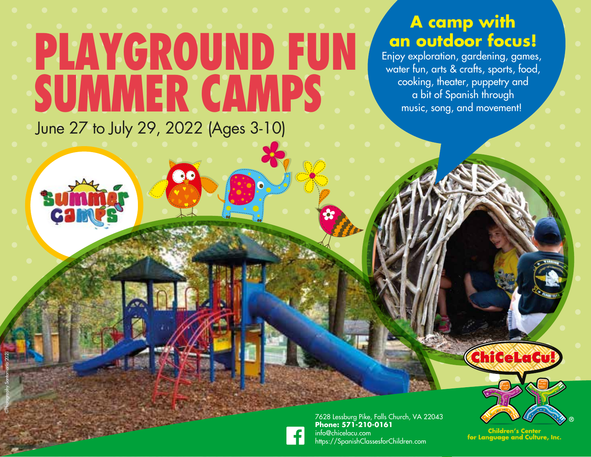## **A camp with an outdoor focus!**

Enjoy exploration, gardening, games, water fun, arts & crafts, sports, food, cooking, theater, puppetry and a bit of Spanish through music, song, and movement!

June 27 to July 29, 2022 (Ages 3-10)

©Photography Santamaria 2021

SUMMER CAMPS

PLAYGROUND FUN



7628 Lessburg Pike, Falls Church, VA 22043 **Phone: 571-210-0161** info@chicelacu.com https://SpanishClassesforChildren.com



Children's Center for Language and Culture, Inc.

**ChiceLaCu!**